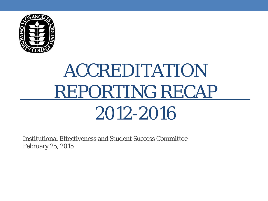

# ACCREDITATION REPORTING RECAP 2012-2016

Institutional Effectiveness and Student Success Committee February 25, 2015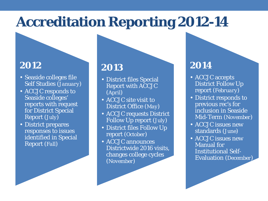# **Accreditation Reporting 2012-14**

#### **2012**

- Seaside colleges file Self Studies (*January*)
- ACCJC responds to Seaside colleges' reports with request for District Special Report (*July*)
- District prepares responses to issues identified in Special Report (*Fall*)

#### **2013**

- District files Special Report with ACCJC (*April*)
- ACCJC site visit to District Office (*May*)
- ACCJC requests District Follow Up report (*July*)
- District files Follow Up report (*October)*
- ACCJC announces Districtwide 2016 visits, changes college cycles (*November*)

### **2014**

- ACCJC accepts District Follow Up report (*February*)
- District responds to previous rec's for inclusion in Seaside Mid-Term (*November*)
- ACCJC issues new standards (*June*)
- ACCJC issues new Manual for Institutional Self-Evaluation (*December*)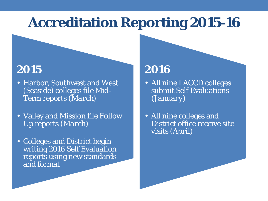## **Accreditation Reporting 2015-16**

### **2015**

- Harbor, Southwest and West (Seaside) colleges file Mid-Term reports (*March*)
- Valley and Mission file Follow Up reports (*March*)
- Colleges and District begin writing 2016 Self Evaluation reports using new standards and format

### **2016**

- All nine LACCD colleges submit Self Evaluations (*January*)
- All nine colleges and District office receive site visits (*April*)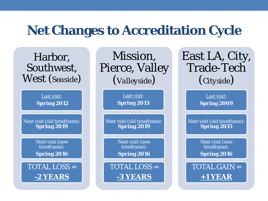### **Net Changes to Accreditation Cycle**

Harbor, Southwest, West (*Seaside*)

> Last visit: **Spring 2012**

Next visit (old timeframe): **Spring 2019**

> Next visit (new timeframe): **Spring 2016**

TOTAL LOSS = **-2 YEARS**

Mission, Pierce, Valley (*Valleyside*)

> Last visit: **Spring 2013**

Next visit (old timeframe): **Spring 2019**

> Next visit (new timeframe):

**Spring 2016**

TOTAL LOSS = **-3 YEARS**

East LA, City, Trade-Tech (*Cityside*)

> Last visit: **Spring 2009**

Next visit (old timeframe): **Spring 2015**

> Next visit (new timeframe):

**Spring 2016**

TOTAL GAIN = **+1 YEAR**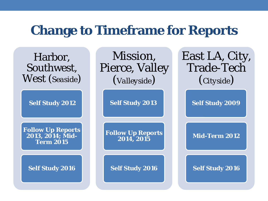### **Change to Timeframe for Reports**

Harbor, Southwest, West (*Seaside*)

**Self Study 2012**

**Follow Up Reports 2013, 2014; Mid-Term 2015**

**Self Study 2016**

Mission, Pierce, Valley (*Valleyside*)

**Self Study 2013**

**Follow Up Reports 2014, 2015** 

**Self Study 2016**

East LA, City, Trade-Tech (*Cityside*)

**Self Study 2009**

**Mid-Term 2012**

**Self Study 2016**